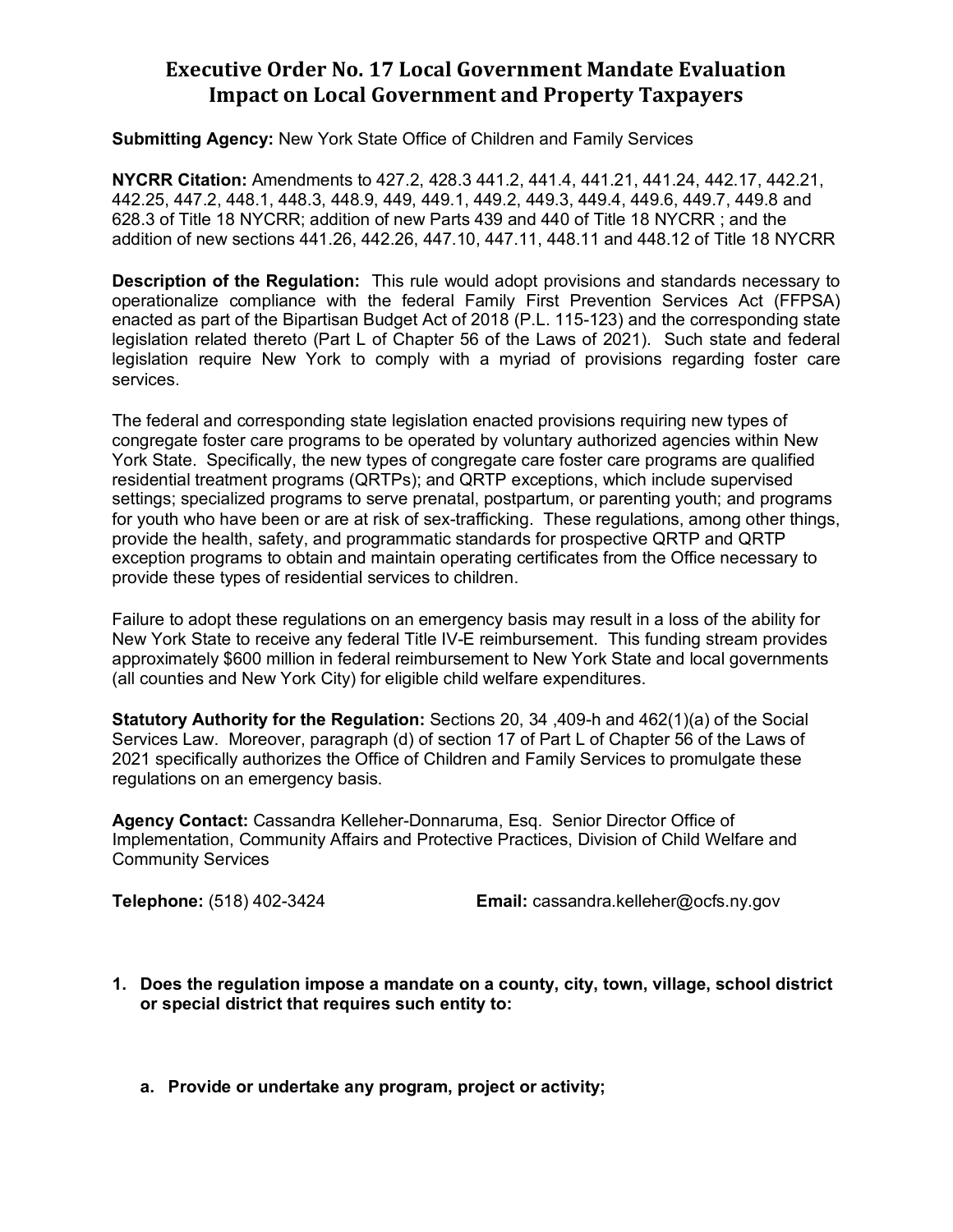## **Executive Order No. 17 Local Government Mandate Evaluation Impact on Local Government and Property Taxpayers**

**Submitting Agency:** New York State Office of Children and Family Services

**NYCRR Citation:** Amendments to 427.2, 428.3 441.2, 441.4, 441.21, 441.24, 442.17, 442.21, 442.25, 447.2, 448.1, 448.3, 448.9, 449, 449.1, 449.2, 449.3, 449.4, 449.6, 449.7, 449.8 and 628.3 of Title 18 NYCRR; addition of new Parts 439 and 440 of Title 18 NYCRR ; and the addition of new sections 441.26, 442.26, 447.10, 447.11, 448.11 and 448.12 of Title 18 NYCRR

**Description of the Regulation:** This rule would adopt provisions and standards necessary to operationalize compliance with the federal Family First Prevention Services Act (FFPSA) enacted as part of the Bipartisan Budget Act of 2018 (P.L. 115-123) and the corresponding state legislation related thereto (Part L of Chapter 56 of the Laws of 2021). Such state and federal legislation require New York to comply with a myriad of provisions regarding foster care services.

The federal and corresponding state legislation enacted provisions requiring new types of congregate foster care programs to be operated by voluntary authorized agencies within New York State. Specifically, the new types of congregate care foster care programs are qualified residential treatment programs (QRTPs); and QRTP exceptions, which include supervised settings; specialized programs to serve prenatal, postpartum, or parenting youth; and programs for youth who have been or are at risk of sex-trafficking. These regulations, among other things, provide the health, safety, and programmatic standards for prospective QRTP and QRTP exception programs to obtain and maintain operating certificates from the Office necessary to provide these types of residential services to children.

Failure to adopt these regulations on an emergency basis may result in a loss of the ability for New York State to receive any federal Title IV-E reimbursement. This funding stream provides approximately \$600 million in federal reimbursement to New York State and local governments (all counties and New York City) for eligible child welfare expenditures.

**Statutory Authority for the Regulation:** Sections 20, 34 ,409-h and 462(1)(a) of the Social Services Law. Moreover, paragraph (d) of section 17 of Part L of Chapter 56 of the Laws of 2021 specifically authorizes the Office of Children and Family Services to promulgate these regulations on an emergency basis.

**Agency Contact:** Cassandra Kelleher-Donnaruma, Esq. Senior Director Office of Implementation, Community Affairs and Protective Practices, Division of Child Welfare and Community Services

**Telephone:** (518) 402-3424 **Email:** cassandra.kelleher@ocfs.ny.gov

- **1. Does the regulation impose a mandate on a county, city, town, village, school district or special district that requires such entity to:**
	- **a. Provide or undertake any program, project or activity;**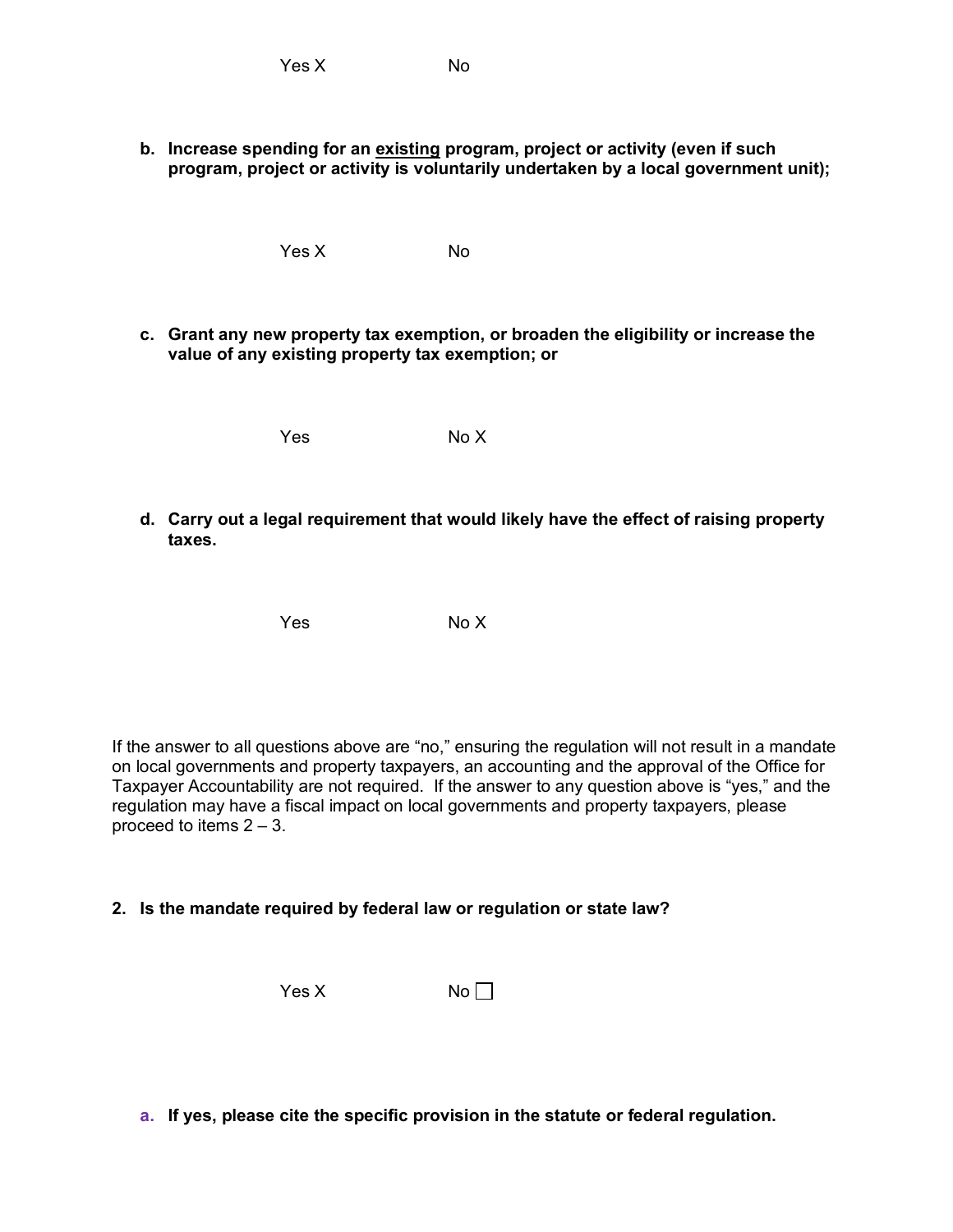**b. Increase spending for an existing program, project or activity (even if such program, project or activity is voluntarily undertaken by a local government unit);**

Yes X No

**c. Grant any new property tax exemption, or broaden the eligibility or increase the value of any existing property tax exemption; or**

Yes No X

**d. Carry out a legal requirement that would likely have the effect of raising property taxes.**

Yes No X

If the answer to all questions above are "no," ensuring the regulation will not result in a mandate on local governments and property taxpayers, an accounting and the approval of the Office for Taxpayer Accountability are not required. If the answer to any question above is "yes," and the regulation may have a fiscal impact on local governments and property taxpayers, please proceed to items 2 – 3.

## **2. Is the mandate required by federal law or regulation or state law?**

 $Yes X$  No

**a. If yes, please cite the specific provision in the statute or federal regulation.**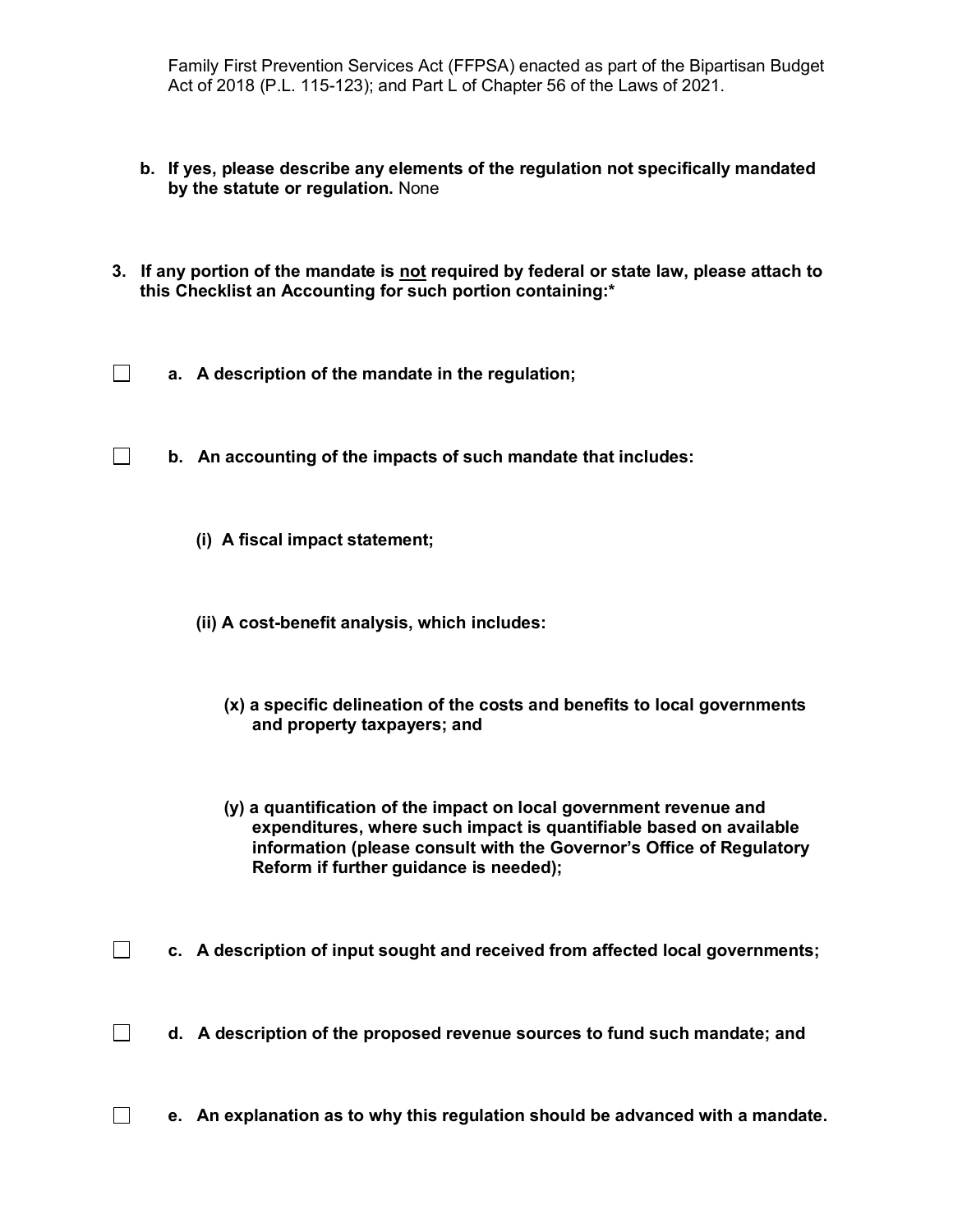Family First Prevention Services Act (FFPSA) enacted as part of the Bipartisan Budget Act of 2018 (P.L. 115-123); and Part L of Chapter 56 of the Laws of 2021.

- **b. If yes, please describe any elements of the regulation not specifically mandated by the statute or regulation.** None
- **3. If any portion of the mandate is not required by federal or state law, please attach to this Checklist an Accounting for such portion containing:\***
- $\Box$ **a. A description of the mandate in the regulation;**
- $\Box$ **b. An accounting of the impacts of such mandate that includes:** 
	- **(i) A fiscal impact statement;**
	- **(ii) A cost-benefit analysis, which includes:**
		- **(x) a specific delineation of the costs and benefits to local governments and property taxpayers; and**
		- **(y) a quantification of the impact on local government revenue and expenditures, where such impact is quantifiable based on available information (please consult with the Governor's Office of Regulatory Reform if further guidance is needed);**
- $\Box$ **c. A description of input sought and received from affected local governments;**
- $\Box$ **d. A description of the proposed revenue sources to fund such mandate; and**
- $\Box$ **e. An explanation as to why this regulation should be advanced with a mandate.**